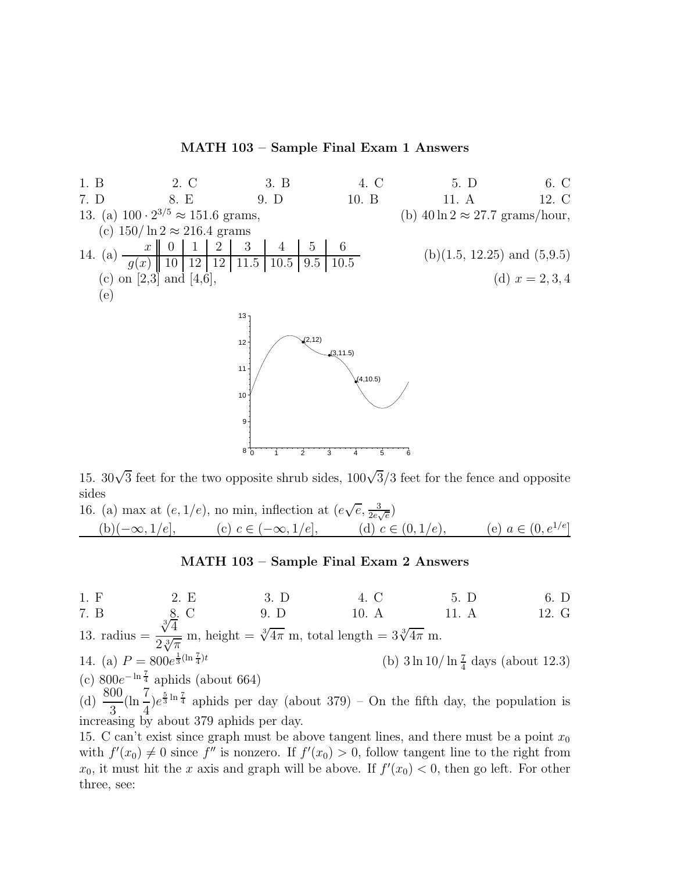## **MATH 103 – Sample Final Exam 1 Answers**



15.  $30\sqrt{3}$  feet for the two opposite shrub sides,  $100\sqrt{3}/3$  feet for the fence and opposite sides sides

16. (a) max at 
$$
(e, 1/e)
$$
, no min, inflection at  $(e\sqrt{e}, \frac{3}{2e\sqrt{e}})$   
\n(b)( $-\infty, 1/e$ ], (c)  $c \in (-\infty, 1/e]$ , (d)  $c \in (0, 1/e)$ , (e)  $a \in (0, e^{1/e}]$ 

## **MATH 103 – Sample Final Exam 2 Answers**

1. F 2. E 3. D 4. C 5. D 6. D 7. B 8. C 9. D 10. A 11. A 12. G 13. radius  $=$  $\sqrt[3]{4}$  $\frac{\sqrt[3]{4}}{2\sqrt[3]{\pi}}$  m, height =  $\sqrt[3]{4\pi}$  m, total length =  $3\sqrt[3]{4\pi}$  m. 14. (a)  $P = 800e^{\frac{1}{3}(\ln \frac{7}{4})}$ (b)  $3 \ln 10 / \ln \frac{7}{4}$  days (about 12.3) (c)  $800e^{-\ln\frac{7}{4}}$  aphids (about 664) (d)  $\frac{800}{3}(\ln\frac{7}{4})e^{\frac{5}{3}\ln\frac{7}{4}}$  aphids per day (about 379) – On the fifth day, the population is increasing by about 379 aphids per day.

15. C can't exist since graph must be above tangent lines, and there must be a point  $x_0$ with  $f'(x_0) \neq 0$  since  $f''$  is nonzero. If  $f'(x_0) > 0$ , follow tangent line to the right from<br> $x_0$  it must hit the x axis and graph will be above. If  $f'(x_0) < 0$  then go left. For other  $x_0$ , it must hit the x axis and graph will be above. If  $f'(x_0) < 0$ , then go left. For other three, see: